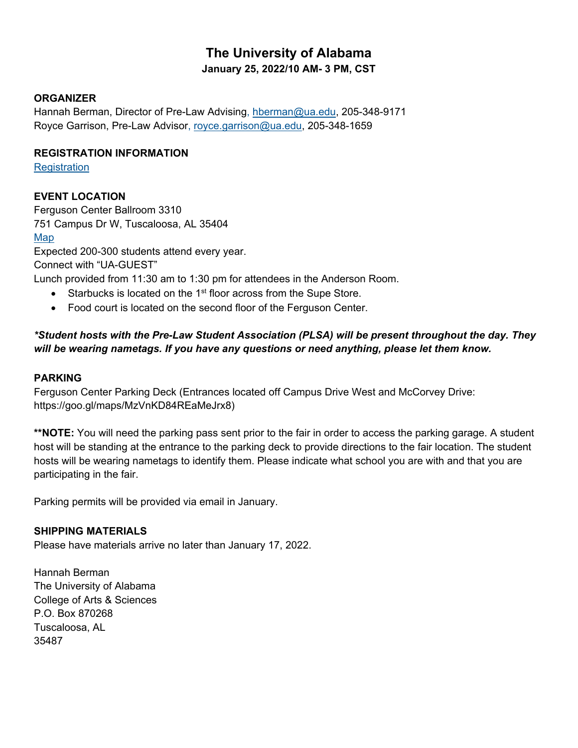# **The University of Alabama January 25, 2022/10 AM- 3 PM, CST**

# **ORGANIZER**

Hannah Berman, Director of Pre-Law Advising, [hberman@ua.edu,](mailto:hberman@ua.edu) 205-348-9171 Royce Garrison, Pre-Law Advisor, [royce.garrison@ua.edu,](mailto:royce.garrison@ua.edu) 205-348-1659

### **REGISTRATION INFORMATION**

**[Registration](https://epay.ua.edu/C20219_ustores/web/store_main.jsp?STOREID=59&SINGLESTORE=true)** 

# **EVENT LOCATION**

Ferguson Center Ballroom 3310 751 Campus Dr W, Tuscaloosa, AL 35404

### [Map](https://map.concept3d.com/?id=1222#!m/323834)

Expected 200-300 students attend every year. Connect with "UA-GUEST"

Lunch provided from 11:30 am to 1:30 pm for attendees in the Anderson Room.

- Starbucks is located on the 1<sup>st</sup> floor across from the Supe Store.
- Food court is located on the second floor of the Ferguson Center.

# *\*Student hosts with the Pre-Law Student Association (PLSA) will be present throughout the day. They will be wearing nametags. If you have any questions or need anything, please let them know.*

# **PARKING**

Ferguson Center Parking Deck (Entrances located off Campus Drive West and McCorvey Drive: https://goo.gl/maps/MzVnKD84REaMeJrx8)

**\*\*NOTE:** You will need the parking pass sent prior to the fair in order to access the parking garage. A student host will be standing at the entrance to the parking deck to provide directions to the fair location. The student hosts will be wearing nametags to identify them. Please indicate what school you are with and that you are participating in the fair.

Parking permits will be provided via email in January.

# **SHIPPING MATERIALS**

Please have materials arrive no later than January 17, 2022.

Hannah Berman The University of Alabama College of Arts & Sciences P.O. Box 870268 Tuscaloosa, AL 35487